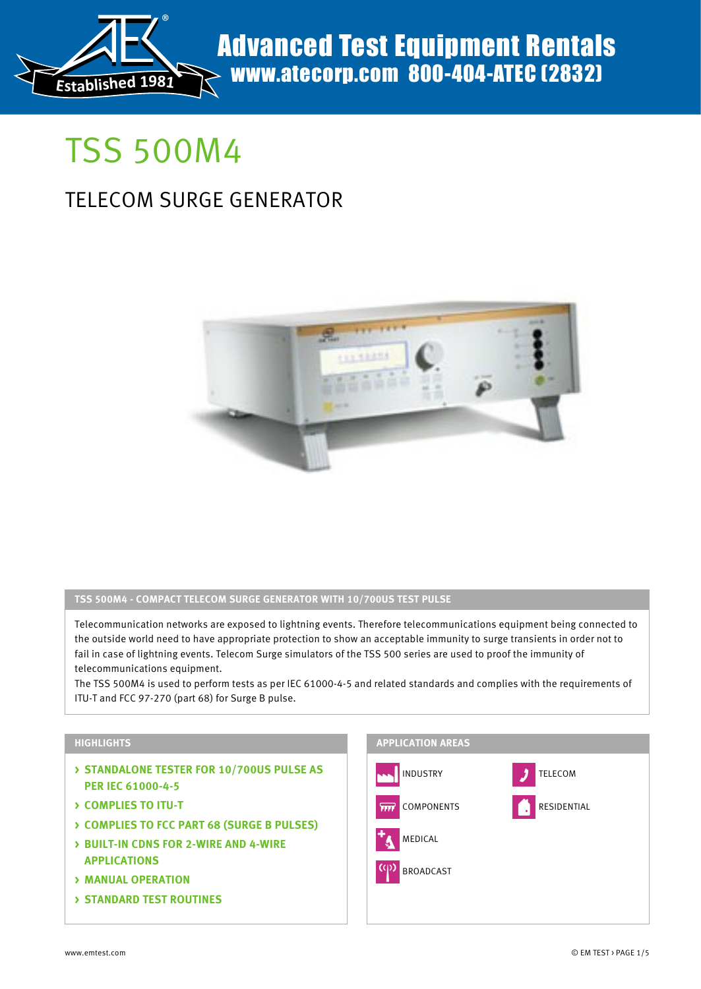

# TSS 500M4

# TELECOM SURGE GENERATOR



#### **TSS 500M4 - COMPACT TELECOM SURGE GENERATOR WITH 10/700US TEST PULSE**

Telecommunication networks are exposed to lightning events. Therefore telecommunications equipment being connected to the outside world need to have appropriate protection to show an acceptable immunity to surge transients in order not to fail in case of lightning events. Telecom Surge simulators of the TSS 500 series are used to proof the immunity of telecommunications equipment.

The TSS 500M4 is used to perform tests as per IEC 61000-4-5 and related standards and complies with the requirements of ITU-T and FCC 97-270 (part 68) for Surge B pulse.

#### **HIGHLIGHTS**

- **> STANDALONE TESTER FOR 10/700US PULSE AS PER IEC 61000-4-5**
- **> COMPLIES TO ITU-T**
- **> COMPLIES TO FCC PART 68 (SURGE B PULSES)**
- **> BUILT-IN CDNS FOR 2-WIRE AND 4-WIRE APPLICATIONS**
- **> MANUAL OPERATION**
- **> STANDARD TEST ROUTINES**

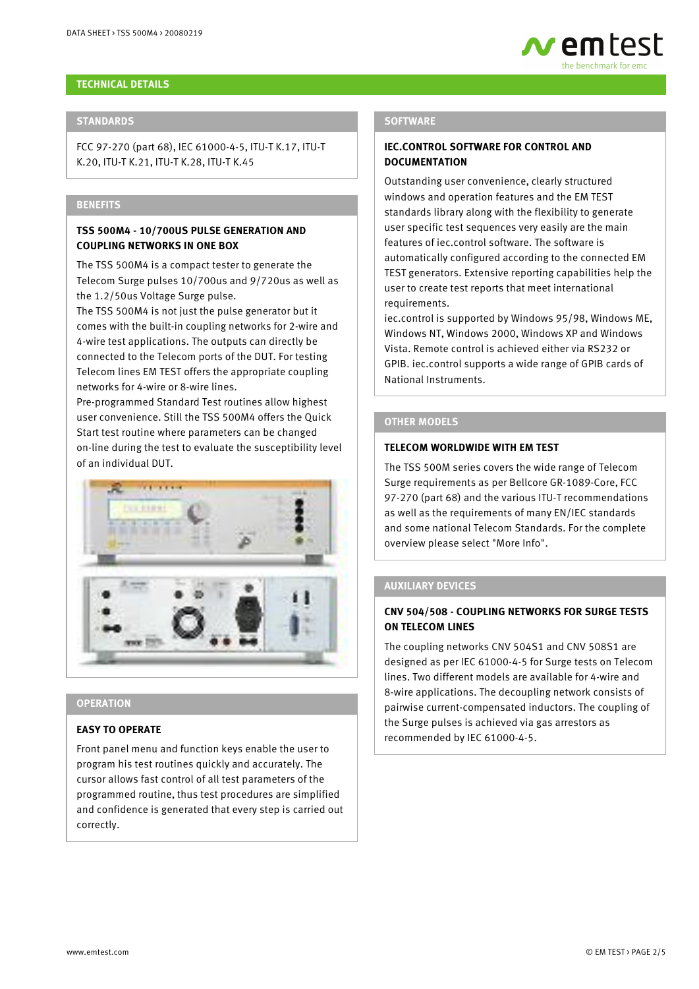#### **TECHNICAL DETAILS**

#### **STANDARDS**

FCC 97-270 (part 68), IEC 61000-4-5, ITU-T K.17, ITU-T K.20, ITU-T K.21, ITU-T K.28, ITU-T K.45

#### **BENEFITS**

#### **TSS 500M4 - 10/700US PULSE GENERATION AND COUPLING NETWORKS IN ONE BOX**

The TSS 500M4 is a compact tester to generate the Telecom Surge pulses 10/700us and 9/720us as well as the 1.2/50us Voltage Surge pulse.

The TSS 500M4 is not just the pulse generator but it comes with the built-in coupling networks for 2-wire and 4-wire test applications. The outputs can directly be connected to the Telecom ports of the DUT. For testing Telecom lines EM TEST offers the appropriate coupling networks for 4-wire or 8-wire lines.

Pre-programmed Standard Test routines allow highest user convenience. Still the TSS 500M4 offers the Quick Start test routine where parameters can be changed on-line during the test to evaluate the susceptibility level of an individual DUT.



#### **OPERATION**

#### **EASY TO OPERATE**

Front panel menu and function keys enable the user to program his test routines quickly and accurately. The cursor allows fast control of all test parameters of the programmed routine, thus test procedures are simplified and confidence is generated that every step is carried out correctly.

#### **SOFTWARE**

#### **IEC.CONTROL SOFTWARE FOR CONTROL AND DOCUMENTATION**

Outstanding user convenience, clearly structured windows and operation features and the EM TEST standards library along with the flexibility to generate user specific test sequences very easily are the main features of iec.control software. The software is automatically configured according to the connected EM TEST generators. Extensive reporting capabilities help the user to create test reports that meet international requirements.

wemtest

iec.control is supported by Windows 95/98, Windows ME, Windows NT, Windows 2000, Windows XP and Windows Vista. Remote control is achieved either via RS232 or GPIB. iec.control supports a wide range of GPIB cards of National Instruments.

#### **OTHER MODELS**

#### **TELECOM WORLDWIDE WITH EM TEST**

The TSS 500M series covers the wide range of Telecom Surge requirements as per Bellcore GR-1089-Core, FCC 97-270 (part 68) and the various ITU-T recommendations as well as the requirements of many EN/IEC standards and some national Telecom Standards. For the complete overview please select "More Info".

#### **AUXILIARY DEVICES**

#### **CNV 504/508 - COUPLING NETWORKS FOR SURGE TESTS ON TELECOM LINES**

The coupling networks CNV 504S1 and CNV 508S1 are designed as per IEC 61000-4-5 for Surge tests on Telecom lines. Two different models are available for 4-wire and 8-wire applications. The decoupling network consists of pairwise current-compensated inductors. The coupling of the Surge pulses is achieved via gas arrestors as recommended by IEC 61000-4-5.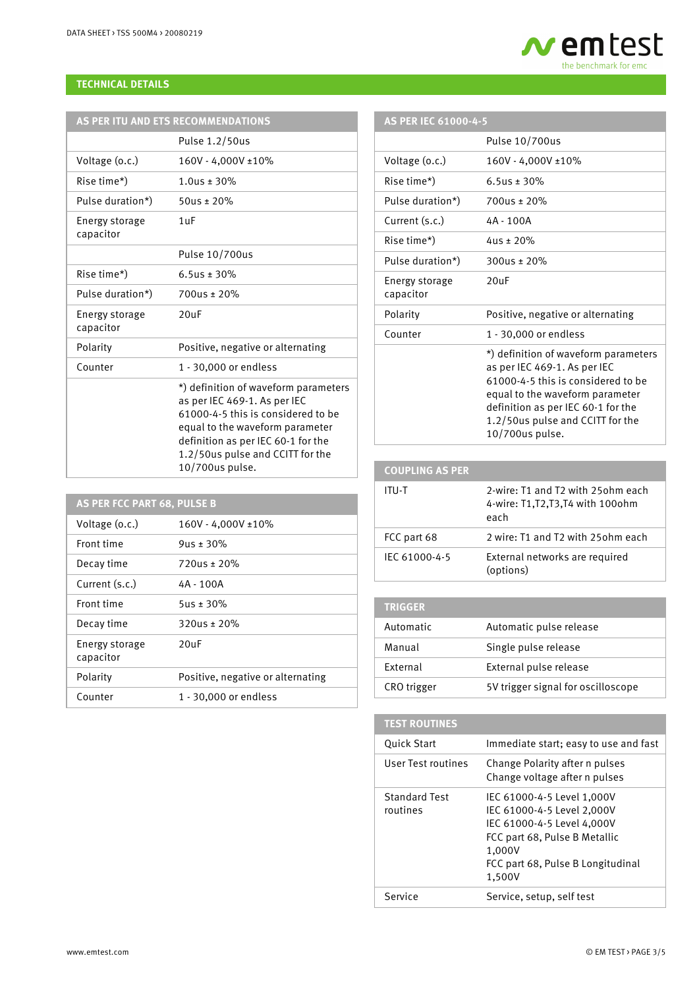#### **TECHNICAL DETAILS**

| AS PER ITU AND ETS RECOMMENDATIONS |                                                                                                                                                                                                                                            |
|------------------------------------|--------------------------------------------------------------------------------------------------------------------------------------------------------------------------------------------------------------------------------------------|
|                                    | Pulse 1.2/50us                                                                                                                                                                                                                             |
| Voltage (o.c.)                     | 160V - 4,000V ±10%                                                                                                                                                                                                                         |
| Rise time*)                        | $1.0$ us ± 30%                                                                                                                                                                                                                             |
| Pulse duration*)                   | $50us \pm 20%$                                                                                                                                                                                                                             |
| Energy storage<br>capacitor        | $1 \text{uF}$                                                                                                                                                                                                                              |
|                                    | Pulse 10/700us                                                                                                                                                                                                                             |
| Rise time*)                        | 6.5us ± 30%                                                                                                                                                                                                                                |
| Pulse duration*)                   | $700$ us ± 20%                                                                                                                                                                                                                             |
| Energy storage<br>capacitor        | 20 <sub>u</sub> F                                                                                                                                                                                                                          |
| Polarity                           | Positive, negative or alternating                                                                                                                                                                                                          |
| Counter                            | 1 - 30,000 or endless                                                                                                                                                                                                                      |
|                                    | *) definition of waveform parameters<br>as per IEC 469-1. As per IEC<br>61000-4-5 this is considered to be<br>equal to the waveform parameter<br>definition as per IEC 60-1 for the<br>1.2/50us pulse and CCITT for the<br>10/700us pulse. |

| <b>AS PER FCC PART 68, PULSE B</b> |                                   |
|------------------------------------|-----------------------------------|
| Voltage (o.c.)                     | 160V - 4,000V ±10%                |
| Front time                         | $9us \pm 30\%$                    |
| Decay time                         | $720us \pm 20\%$                  |
| Current (s.c.)                     | 4A - 100A                         |
| Front time                         | $5us \pm 30\%$                    |
| Decay time                         | $320us \pm 20\%$                  |
| Energy storage<br>capacitor        | 20 <sub>II</sub> F                |
| Polarity                           | Positive, negative or alternating |
| Counter                            | 1 - 30,000 or endless             |

### **AS PER IEC 61000-4-5**

|                             | Pulse 10/700us                                                                                                                                                                                                                             |
|-----------------------------|--------------------------------------------------------------------------------------------------------------------------------------------------------------------------------------------------------------------------------------------|
| Voltage (o.c.)              | 160V - 4,000V ±10%                                                                                                                                                                                                                         |
| Rise time*)                 | 6.5us ± 30%                                                                                                                                                                                                                                |
| Pulse duration*)            | $700$ us ± 20%                                                                                                                                                                                                                             |
| Current (s.c.)              | 4A - 100A                                                                                                                                                                                                                                  |
| Rise time*)                 | $4us \pm 20\%$                                                                                                                                                                                                                             |
| Pulse duration*)            | $300$ us ± 20%                                                                                                                                                                                                                             |
| Energy storage<br>capacitor | 20 <sub>U</sub> F                                                                                                                                                                                                                          |
| Polarity                    | Positive, negative or alternating                                                                                                                                                                                                          |
| Counter                     | 1 - 30,000 or endless                                                                                                                                                                                                                      |
|                             | *) definition of waveform parameters<br>as per IEC 469-1. As per IEC<br>61000-4-5 this is considered to be<br>equal to the waveform parameter<br>definition as per IEC 60-1 for the<br>1.2/50us pulse and CCITT for the<br>10/700us pulse. |

 **em test** the benchmark for emc

### **COUPLING AS PER** ITU-T 2-wire: T1 and T2 with 25ohm each 4-wire: T1,T2,T3,T4 with 100ohm each FCC part 68 2 wire: T1 and T2 with 25ohm each IEC 61000-4-5 External networks are required (options)

## **TRIGGER** Automatic Automatic pulse release Manual Single pulse release External External pulse release CRO trigger 5V trigger signal for oscilloscope

| <b>TEST ROUTINES</b>             |                                                                                                                                                                                  |
|----------------------------------|----------------------------------------------------------------------------------------------------------------------------------------------------------------------------------|
| <b>Ouick Start</b>               | Immediate start; easy to use and fast                                                                                                                                            |
| User Test routines               | Change Polarity after n pulses<br>Change voltage after n pulses                                                                                                                  |
| <b>Standard Test</b><br>routines | IEC 61000-4-5 Level 1,000V<br>IEC 61000-4-5 Level 2,000V<br>IEC 61000-4-5 Level 4.000V<br>FCC part 68, Pulse B Metallic<br>1.000V<br>FCC part 68, Pulse B Longitudinal<br>1,500V |
| Service                          | Service, setup, self test                                                                                                                                                        |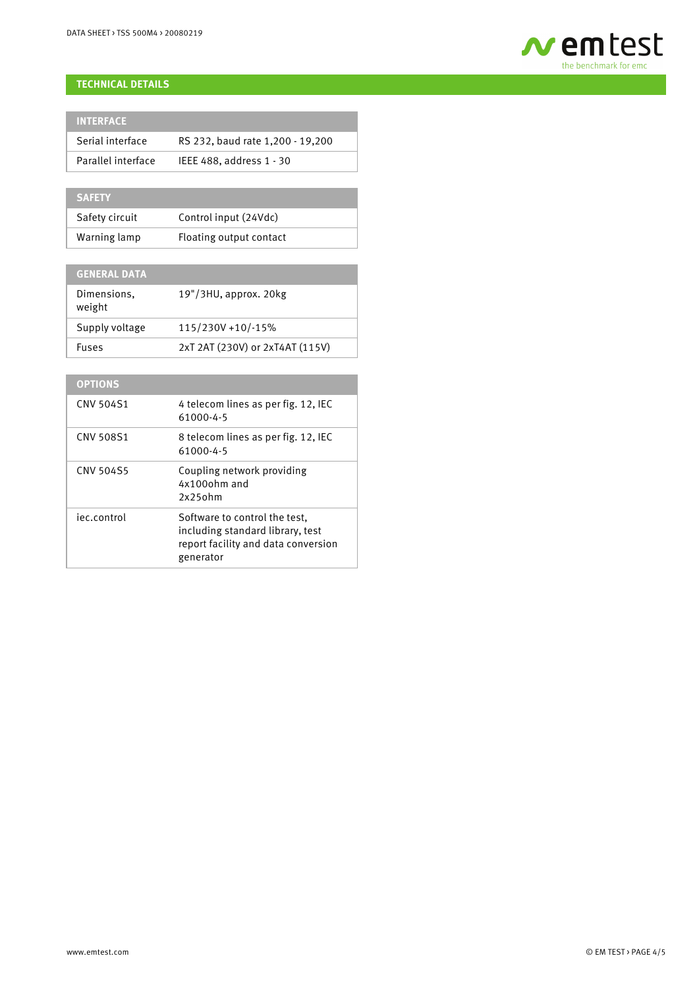

#### **TECHNICAL DETAILS**

| <b>INTERFACE</b>   |                                  |
|--------------------|----------------------------------|
| Serial interface   | RS 232, baud rate 1,200 - 19,200 |
| Parallel interface | IEEE 488, address 1 - 30         |

| <b>SAFETY</b>  |                         |
|----------------|-------------------------|
| Safety circuit | Control input (24Vdc)   |
| Warning lamp   | Floating output contact |

| <b>GENERAL DATA</b>   |                                 |
|-----------------------|---------------------------------|
| Dimensions.<br>weight | 19"/3HU, approx. 20kg           |
| Supply voltage        | 115/230V +10/-15%               |
| Fuses                 | 2xT 2AT (230V) or 2xT4AT (115V) |

| <b>OPTIONS</b>   |                                                                                                                       |
|------------------|-----------------------------------------------------------------------------------------------------------------------|
| CNV 504S1        | 4 telecom lines as per fig. 12, IEC<br>61000-4-5                                                                      |
| CNV 508S1        | 8 telecom lines as per fig. 12, IEC<br>61000-4-5                                                                      |
| <b>CNV 504S5</b> | Coupling network providing<br>4x100ohm and<br>$2x25$ ohm                                                              |
| iec.control      | Software to control the test.<br>including standard library, test<br>report facility and data conversion<br>generator |